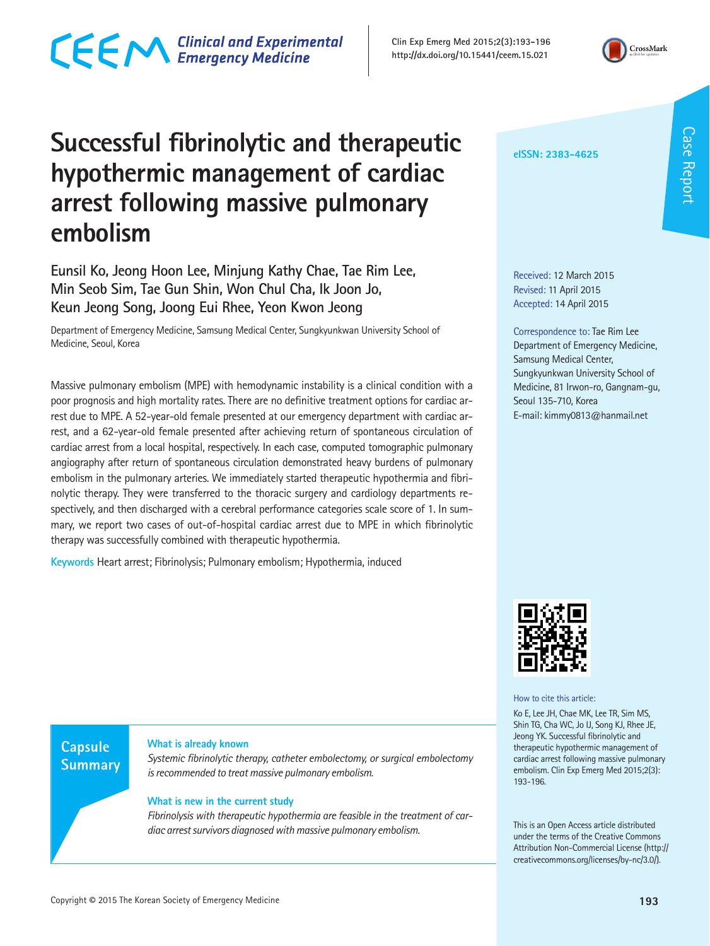### CECM Clinical and Experimental

### **Successful fibrinolytic and therapeutic hypothermic management of cardiac arrest following massive pulmonary embolism**

**Eunsil Ko, Jeong Hoon Lee, Minjung Kathy Chae, Tae Rim Lee, Min Seob Sim, Tae Gun Shin, Won Chul Cha, Ik Joon Jo, Keun Jeong Song, Joong Eui Rhee, Yeon Kwon Jeong**

Department of Emergency Medicine, Samsung Medical Center, Sungkyunkwan University School of Medicine, Seoul, Korea

Massive pulmonary embolism (MPE) with hemodynamic instability is a clinical condition with a poor prognosis and high mortality rates. There are no definitive treatment options for cardiac arrest due to MPE. A 52-year-old female presented at our emergency department with cardiac arrest, and a 62-year-old female presented after achieving return of spontaneous circulation of cardiac arrest from a local hospital, respectively. In each case, computed tomographic pulmonary angiography after return of spontaneous circulation demonstrated heavy burdens of pulmonary embolism in the pulmonary arteries. We immediately started therapeutic hypothermia and fibrinolytic therapy. They were transferred to the thoracic surgery and cardiology departments respectively, and then discharged with a cerebral performance categories scale score of 1. In summary, we report two cases of out-of-hospital cardiac arrest due to MPE in which fibrinolytic therapy was successfully combined with therapeutic hypothermia.

**Keywords** Heart arrest; Fibrinolysis; Pulmonary embolism; Hypothermia, induced

**Capsule Summary** 

#### **What is already known**

*Systemic fibrinolytic therapy, catheter embolectomy, or surgical embolectomy is recommended to treat massive pulmonary embolism.*

#### **What is new in the current study**

*Fibrinolysis with therapeutic hypothermia are feasible in the treatment of cardiac arrest survivors diagnosed with massive pulmonary embolism.*

Received: 12 March 2015 Revised: 11 April 2015 Accepted: 14 April 2015

**eISSN: 2383-4625**

**Clin Exp Emerg Med 2015;2(3):193-196 http://dx.doi.org/10.15441/ceem.15.021** 

> Correspondence to: Tae Rim Lee Department of Emergency Medicine, Samsung Medical Center, Sungkyunkwan University School of Medicine, 81 Irwon-ro, Gangnam-gu, Seoul 135-710, Korea E-mail: kimmy0813@hanmail.net



#### How to cite this article:

Ko E, Lee JH, Chae MK, Lee TR, Sim MS, Shin TG, Cha WC, Jo IJ, Song KJ, Rhee JE, Jeong YK. Successful fibrinolytic and therapeutic hypothermic management of cardiac arrest following massive pulmonary embolism. Clin Exp Emerg Med 2015;2(3): 193-196.

This is an Open Access article distributed under the terms of the Creative Commons Attribution Non-Commercial License (http:// creativecommons.org/licenses/by-nc/3.0/).

Case Report

Case Report

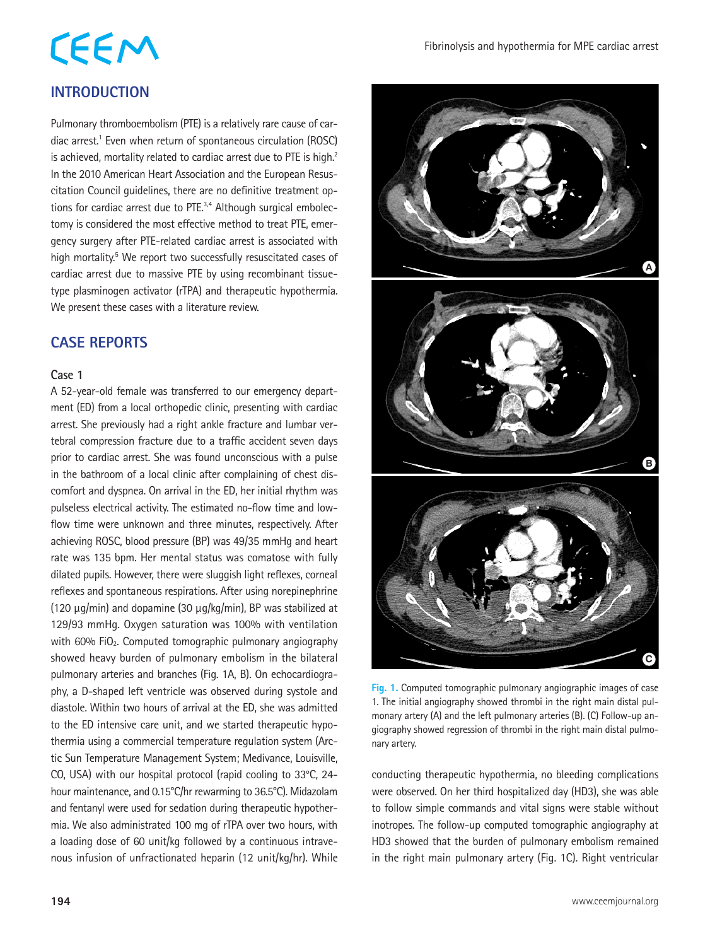# **CEEM**

#### **INTRODUCTION**

Pulmonary thromboembolism (PTE) is a relatively rare cause of cardiac arrest.<sup>1</sup> Even when return of spontaneous circulation (ROSC) is achieved, mortality related to cardiac arrest due to PTE is high.<sup>2</sup> In the 2010 American Heart Association and the European Resuscitation Council guidelines, there are no definitive treatment options for cardiac arrest due to PTE.<sup>3,4</sup> Although surgical embolectomy is considered the most effective method to treat PTE, emergency surgery after PTE-related cardiac arrest is associated with high mortality.<sup>5</sup> We report two successfully resuscitated cases of cardiac arrest due to massive PTE by using recombinant tissuetype plasminogen activator (rTPA) and therapeutic hypothermia. We present these cases with a literature review.

#### **CASE REPORTS**

#### **Case 1**

A 52-year-old female was transferred to our emergency department (ED) from a local orthopedic clinic, presenting with cardiac arrest. She previously had a right ankle fracture and lumbar vertebral compression fracture due to a traffic accident seven days prior to cardiac arrest. She was found unconscious with a pulse in the bathroom of a local clinic after complaining of chest discomfort and dyspnea. On arrival in the ED, her initial rhythm was pulseless electrical activity. The estimated no-flow time and lowflow time were unknown and three minutes, respectively. After achieving ROSC, blood pressure (BP) was 49/35 mmHg and heart rate was 135 bpm. Her mental status was comatose with fully dilated pupils. However, there were sluggish light reflexes, corneal reflexes and spontaneous respirations. After using norepinephrine (120 μg/min) and dopamine (30 μg/kg/min), BP was stabilized at 129/93 mmHg. Oxygen saturation was 100% with ventilation with 60% FiO<sub>2</sub>. Computed tomographic pulmonary angiography showed heavy burden of pulmonary embolism in the bilateral pulmonary arteries and branches (Fig. 1A, B). On echocardiography, a D-shaped left ventricle was observed during systole and diastole. Within two hours of arrival at the ED, she was admitted to the ED intensive care unit, and we started therapeutic hypothermia using a commercial temperature regulation system (Arctic Sun Temperature Management System; Medivance, Louisville, CO, USA) with our hospital protocol (rapid cooling to 33°C, 24 hour maintenance, and 0.15°C/hr rewarming to 36.5°C). Midazolam and fentanyl were used for sedation during therapeutic hypothermia. We also administrated 100 mg of rTPA over two hours, with a loading dose of 60 unit/kg followed by a continuous intravenous infusion of unfractionated heparin (12 unit/kg/hr). While



**Fig. 1.** Computed tomographic pulmonary angiographic images of case 1. The initial angiography showed thrombi in the right main distal pulmonary artery (A) and the left pulmonary arteries (B). (C) Follow-up angiography showed regression of thrombi in the right main distal pulmonary artery.

conducting therapeutic hypothermia, no bleeding complications were observed. On her third hospitalized day (HD3), she was able to follow simple commands and vital signs were stable without inotropes. The follow-up computed tomographic angiography at HD3 showed that the burden of pulmonary embolism remained in the right main pulmonary artery (Fig. 1C). Right ventricular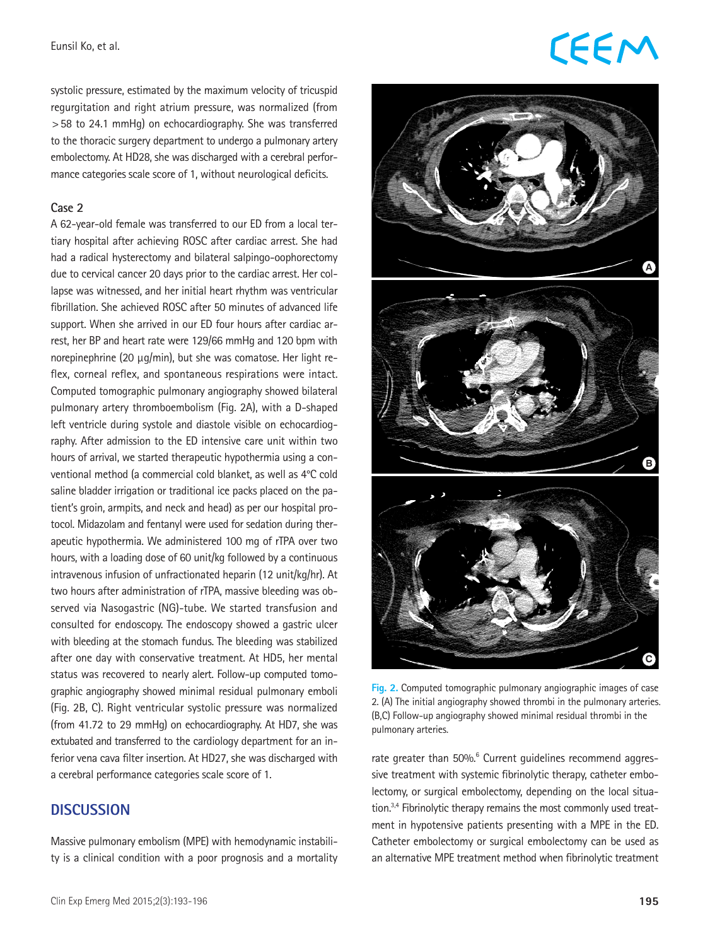#### Eunsil Ko, et al.

systolic pressure, estimated by the maximum velocity of tricuspid regurgitation and right atrium pressure, was normalized (from >58 to 24.1 mmHg) on echocardiography. She was transferred to the thoracic surgery department to undergo a pulmonary artery embolectomy. At HD28, she was discharged with a cerebral performance categories scale score of 1, without neurological deficits.

#### **Case 2**

A 62-year-old female was transferred to our ED from a local tertiary hospital after achieving ROSC after cardiac arrest. She had had a radical hysterectomy and bilateral salpingo-oophorectomy due to cervical cancer 20 days prior to the cardiac arrest. Her collapse was witnessed, and her initial heart rhythm was ventricular fibrillation. She achieved ROSC after 50 minutes of advanced life support. When she arrived in our ED four hours after cardiac arrest, her BP and heart rate were 129/66 mmHg and 120 bpm with norepinephrine (20 μg/min), but she was comatose. Her light reflex, corneal reflex, and spontaneous respirations were intact. Computed tomographic pulmonary angiography showed bilateral pulmonary artery thromboembolism (Fig. 2A), with a D-shaped left ventricle during systole and diastole visible on echocardiography. After admission to the ED intensive care unit within two hours of arrival, we started therapeutic hypothermia using a conventional method (a commercial cold blanket, as well as 4°C cold saline bladder irrigation or traditional ice packs placed on the patient's groin, armpits, and neck and head) as per our hospital protocol. Midazolam and fentanyl were used for sedation during therapeutic hypothermia. We administered 100 mg of rTPA over two hours, with a loading dose of 60 unit/kg followed by a continuous intravenous infusion of unfractionated heparin (12 unit/kg/hr). At two hours after administration of rTPA, massive bleeding was observed via Nasogastric (NG)-tube. We started transfusion and consulted for endoscopy. The endoscopy showed a gastric ulcer with bleeding at the stomach fundus. The bleeding was stabilized after one day with conservative treatment. At HD5, her mental status was recovered to nearly alert. Follow-up computed tomographic angiography showed minimal residual pulmonary emboli (Fig. 2B, C). Right ventricular systolic pressure was normalized (from 41.72 to 29 mmHg) on echocardiography. At HD7, she was extubated and transferred to the cardiology department for an inferior vena cava filter insertion. At HD27, she was discharged with a cerebral performance categories scale score of 1.

#### **DISCUSSION**

Massive pulmonary embolism (MPE) with hemodynamic instability is a clinical condition with a poor prognosis and a mortality

### **CEEM**



**Fig. 2.** Computed tomographic pulmonary angiographic images of case 2. (A) The initial angiography showed thrombi in the pulmonary arteries. (B,C) Follow-up angiography showed minimal residual thrombi in the pulmonary arteries.

rate greater than 50%.<sup>6</sup> Current guidelines recommend aggressive treatment with systemic fibrinolytic therapy, catheter embolectomy, or surgical embolectomy, depending on the local situation.3,4 Fibrinolytic therapy remains the most commonly used treatment in hypotensive patients presenting with a MPE in the ED. Catheter embolectomy or surgical embolectomy can be used as an alternative MPE treatment method when fibrinolytic treatment